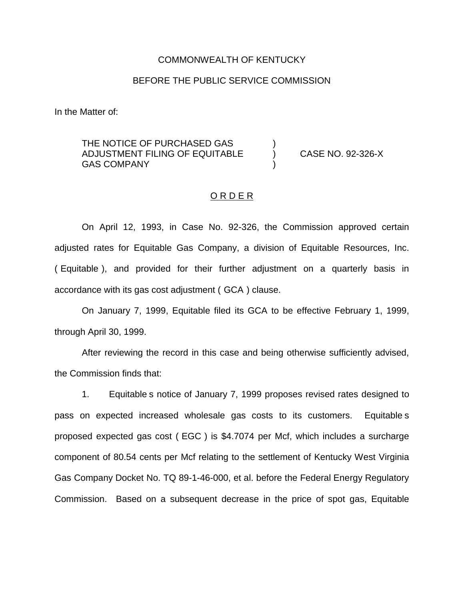### COMMONWEALTH OF KENTUCKY

## BEFORE THE PUBLIC SERVICE COMMISSION

In the Matter of:

THE NOTICE OF PURCHASED GAS ADJUSTMENT FILING OF EQUITABLE ) CASE NO. 92-326-X **GAS COMPANY** 

### ORDER

On April 12, 1993, in Case No. 92-326, the Commission approved certain adjusted rates for Equitable Gas Company, a division of Equitable Resources, Inc. ( Equitable ), and provided for their further adjustment on a quarterly basis in accordance with its gas cost adjustment ( GCA ) clause.

On January 7, 1999, Equitable filed its GCA to be effective February 1, 1999, through April 30, 1999.

After reviewing the record in this case and being otherwise sufficiently advised, the Commission finds that:

1. Equitable s notice of January 7, 1999 proposes revised rates designed to pass on expected increased wholesale gas costs to its customers. Equitable s proposed expected gas cost ( EGC ) is \$4.7074 per Mcf, which includes a surcharge component of 80.54 cents per Mcf relating to the settlement of Kentucky West Virginia Gas Company Docket No. TQ 89-1-46-000, et al. before the Federal Energy Regulatory Commission. Based on a subsequent decrease in the price of spot gas, Equitable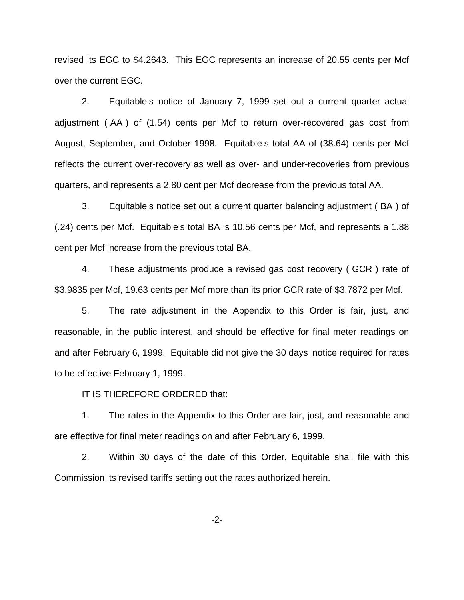revised its EGC to \$4.2643. This EGC represents an increase of 20.55 cents per Mcf over the current EGC.

2. Equitable s notice of January 7, 1999 set out a current quarter actual adjustment ( AA ) of (1.54) cents per Mcf to return over-recovered gas cost from August, September, and October 1998. Equitable s total AA of (38.64) cents per Mcf reflects the current over-recovery as well as over- and under-recoveries from previous quarters, and represents a 2.80 cent per Mcf decrease from the previous total AA.

3. Equitable s notice set out a current quarter balancing adjustment ( BA ) of (.24) cents per Mcf. Equitable s total BA is 10.56 cents per Mcf, and represents a 1.88 cent per Mcf increase from the previous total BA.

4. These adjustments produce a revised gas cost recovery ( GCR ) rate of \$3.9835 per Mcf, 19.63 cents per Mcf more than its prior GCR rate of \$3.7872 per Mcf.

5. The rate adjustment in the Appendix to this Order is fair, just, and reasonable, in the public interest, and should be effective for final meter readings on and after February 6, 1999. Equitable did not give the 30 days notice required for rates to be effective February 1, 1999.

IT IS THEREFORE ORDERED that:

1. The rates in the Appendix to this Order are fair, just, and reasonable and are effective for final meter readings on and after February 6, 1999.

2. Within 30 days of the date of this Order, Equitable shall file with this Commission its revised tariffs setting out the rates authorized herein.

-2-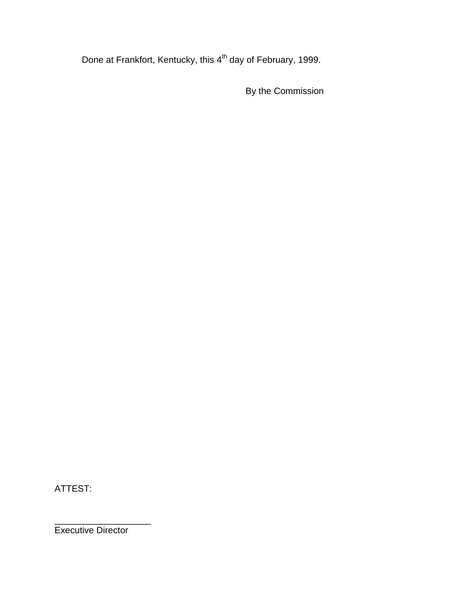Done at Frankfort, Kentucky, this 4<sup>th</sup> day of February, 1999.

By the Commission

ATTEST:

Executive Director

\_\_\_\_\_\_\_\_\_\_\_\_\_\_\_\_\_\_\_